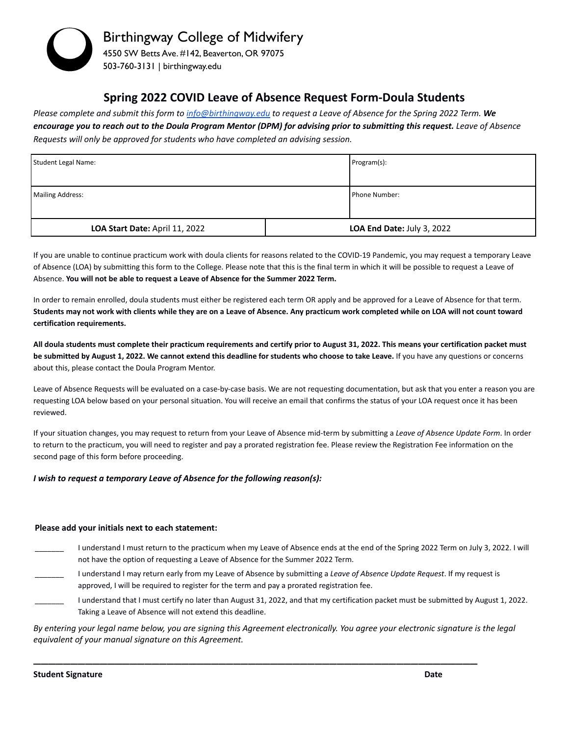

## **Spring 2022 COVID Leave of Absence Request Form-Doula Students**

Please complete and submit this form to [info@birthingway.edu](mailto:info@birthingway.edu) to request a Leave of Absence for the Spring 2022 Term. We encourage you to reach out to the Doula Program Mentor (DPM) for advising prior to submitting this request. Leave of Absence *Requests will only be approved for students who have completed an advising session.*

| Student Legal Name:            |  | Program(s):                |
|--------------------------------|--|----------------------------|
| <b>Mailing Address:</b>        |  | <b>I</b> Phone Number:     |
| LOA Start Date: April 11, 2022 |  | LOA End Date: July 3, 2022 |

If you are unable to continue practicum work with doula clients for reasons related to the COVID-19 Pandemic, you may request a temporary Leave of Absence (LOA) by submitting this form to the College. Please note that this is the final term in which it will be possible to request a Leave of Absence. **You will not be able to request a Leave of Absence for the Summer 2022 Term.**

In order to remain enrolled, doula students must either be registered each term OR apply and be approved for a Leave of Absence for that term. **Students may not work with clients while they are on a Leave of Absence. Any practicum work completed while on LOA will not count toward certification requirements.**

**All doula students must complete their practicum requirements and certify prior to August 31, 2022. This means your certification packet must be submitted by August 1, 2022. We cannot extend this deadline for students who choose to take Leave.** If you have any questions or concerns about this, please contact the Doula Program Mentor.

Leave of Absence Requests will be evaluated on a case-by-case basis. We are not requesting documentation, but ask that you enter a reason you are requesting LOA below based on your personal situation. You will receive an email that confirms the status of your LOA request once it has been reviewed.

If your situation changes, you may request to return from your Leave of Absence mid-term by submitting a *Leave of Absence Update Form*. In order to return to the practicum, you will need to register and pay a prorated registration fee. Please review the Registration Fee information on the second page of this form before proceeding.

## *I wish to request a temporary Leave of Absence for the following reason(s):*

## **Please add your initials next to each statement:**

- I understand I must return to the practicum when my Leave of Absence ends at the end of the Spring 2022 Term on July 3, 2022. I will not have the option of requesting a Leave of Absence for the Summer 2022 Term.
- \_\_\_\_\_\_\_ I understand I may return early from my Leave of Absence by submitting a *Leave of Absence Update Request*. If my request is approved, I will be required to register for the term and pay a prorated registration fee.
- I understand that I must certify no later than August 31, 2022, and that my certification packet must be submitted by August 1, 2022. Taking a Leave of Absence will not extend this deadline.

By entering your legal name below, you are signing this Agreement electronically. You agree your electronic signature is the legal *equivalent of your manual signature on this Agreement.*

\_\_\_\_\_\_\_\_\_\_\_\_\_\_\_\_\_\_\_\_\_\_\_\_\_\_\_\_\_\_\_\_\_\_\_\_\_\_\_\_\_\_\_\_\_\_\_\_\_\_\_\_\_\_\_\_\_\_\_\_